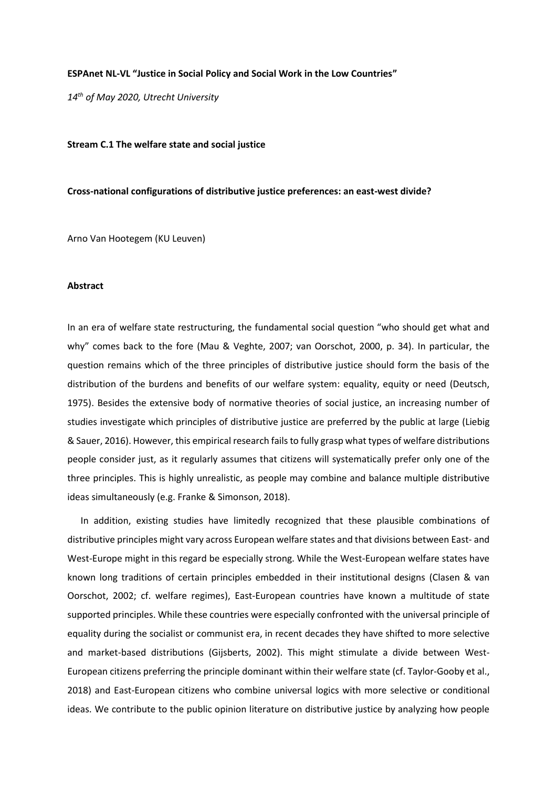## **ESPAnet NL-VL "Justice in Social Policy and Social Work in the Low Countries"**

*14th of May 2020, Utrecht University*

**Stream C.1 The welfare state and social justice**

## **Cross-national configurations of distributive justice preferences: an east-west divide?**

Arno Van Hootegem (KU Leuven)

## **Abstract**

In an era of welfare state restructuring, the fundamental social question "who should get what and why" comes back to the fore (Mau & Veghte, 2007; van Oorschot, 2000, p. 34). In particular, the question remains which of the three principles of distributive justice should form the basis of the distribution of the burdens and benefits of our welfare system: equality, equity or need (Deutsch, 1975). Besides the extensive body of normative theories of social justice, an increasing number of studies investigate which principles of distributive justice are preferred by the public at large (Liebig & Sauer, 2016). However, this empirical research fails to fully grasp what types of welfare distributions people consider just, as it regularly assumes that citizens will systematically prefer only one of the three principles. This is highly unrealistic, as people may combine and balance multiple distributive ideas simultaneously (e.g. Franke & Simonson, 2018).

In addition, existing studies have limitedly recognized that these plausible combinations of distributive principles might vary across European welfare states and that divisions between East- and West-Europe might in this regard be especially strong. While the West-European welfare states have known long traditions of certain principles embedded in their institutional designs (Clasen & van Oorschot, 2002; cf. welfare regimes), East-European countries have known a multitude of state supported principles. While these countries were especially confronted with the universal principle of equality during the socialist or communist era, in recent decades they have shifted to more selective and market-based distributions (Gijsberts, 2002). This might stimulate a divide between West-European citizens preferring the principle dominant within their welfare state (cf. Taylor-Gooby et al., 2018) and East-European citizens who combine universal logics with more selective or conditional ideas. We contribute to the public opinion literature on distributive justice by analyzing how people